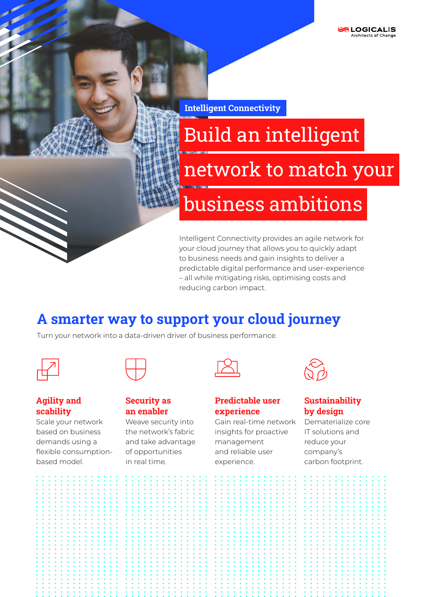Intelligent Connectivity

# Build an intelligent network to match your business ambitions

Intelligent Connectivity provides an agile network for your cloud journey that allows you to quickly adapt to business needs and gain insights to deliver a predictable digital performance and user-experience – all while mitigating risks, optimising costs and reducing carbon impact.

# A smarter way to support your cloud journey

Turn your network into a data-driven driver of business performance.

#### Agility and scability

Scale your network based on business demands using a flexible consumptionbased model.

| <b>Security as</b> |  |
|--------------------|--|
| an enabler         |  |

Weave security into the network's fabric and take advantage of opportunities in real time.

#### Predictable user experience

Gain real-time network insights for proactive management and reliable user experience.



### **Sustainability** by design

Dematerialize core IT solutions and reduce your company's carbon footprint.